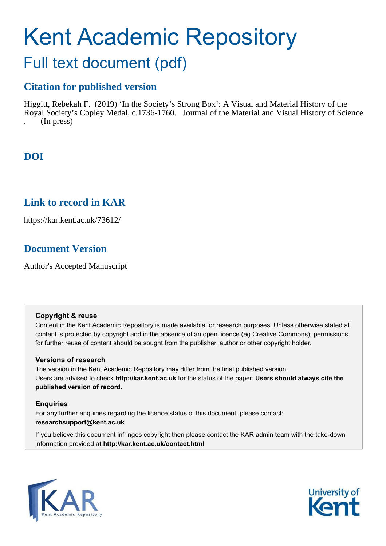# Kent Academic Repository

## Full text document (pdf)

## **Citation for published version**

Higgitt, Rebekah F. (2019) 'In the Society's Strong Box': A Visual and Material History of the Royal Society's Copley Medal, c.1736-1760. Journal of the Material and Visual History of Science . (In press)

## **DOI**

## **Link to record in KAR**

https://kar.kent.ac.uk/73612/

## **Document Version**

Author's Accepted Manuscript

## **Copyright & reuse**

Content in the Kent Academic Repository is made available for research purposes. Unless otherwise stated all content is protected by copyright and in the absence of an open licence (eg Creative Commons), permissions for further reuse of content should be sought from the publisher, author or other copyright holder.

## **Versions of research**

The version in the Kent Academic Repository may differ from the final published version. Users are advised to check **http://kar.kent.ac.uk** for the status of the paper. **Users should always cite the published version of record.**

## **Enquiries**

For any further enquiries regarding the licence status of this document, please contact: **researchsupport@kent.ac.uk**

If you believe this document infringes copyright then please contact the KAR admin team with the take-down information provided at **http://kar.kent.ac.uk/contact.html**



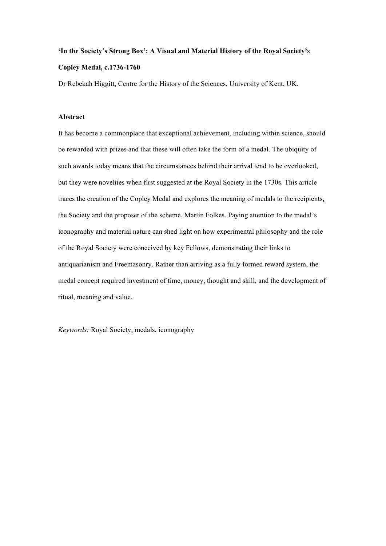## **'In the Society's Strong Box': A Visual and Material History of the Royal Society's Copley Medal, c.1736-1760**

Dr Rebekah Higgitt, Centre for the History of the Sciences, University of Kent, UK.

## **Abstract**

It has become a commonplace that exceptional achievement, including within science, should be rewarded with prizes and that these will often take the form of a medal. The ubiquity of such awards today means that the circumstances behind their arrival tend to be overlooked, but they were novelties when first suggested at the Royal Society in the 1730s. This article traces the creation of the Copley Medal and explores the meaning of medals to the recipients, the Society and the proposer of the scheme, Martin Folkes. Paying attention to the medal's iconography and material nature can shed light on how experimental philosophy and the role of the Royal Society were conceived by key Fellows, demonstrating their links to antiquarianism and Freemasonry. Rather than arriving as a fully formed reward system, the medal concept required investment of time, money, thought and skill, and the development of ritual, meaning and value.

*Keywords:* Royal Society, medals, iconography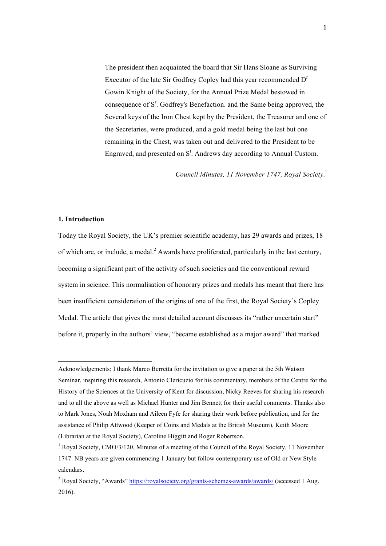The president then acquainted the board that Sir Hans Sloane as Surviving Executor of the late Sir Godfrey Copley had this year recommended D<sup>r</sup> Gowin Knight of the Society, for the Annual Prize Medal bestowed in consequence of S<sup>r</sup>. Godfrey's Benefaction. and the Same being approved, the Several keys of the Iron Chest kept by the President, the Treasurer and one of the Secretaries, were produced, and a gold medal being the last but one remaining in the Chest, was taken out and delivered to the President to be Engraved, and presented on  $S^t$ . Andrews day according to Annual Custom.

*Council Minutes, 11 November 1747, Royal Society*. 1

#### **1. Introduction**

 

Today the Royal Society, the UK's premier scientific academy, has 29 awards and prizes, 18 of which are, or include, a medal.<sup>2</sup> Awards have proliferated, particularly in the last century, becoming a significant part of the activity of such societies and the conventional reward system in science. This normalisation of honorary prizes and medals has meant that there has been insufficient consideration of the origins of one of the first, the Royal Society's Copley Medal. The article that gives the most detailed account discusses its "rather uncertain start" before it, properly in the authors' view, "became established as a major award" that marked

Acknowledgements: I thank Marco Berretta for the invitation to give a paper at the 5th Watson Seminar, inspiring this research, Antonio Clericuzio for his commentary, members of the Centre for the History of the Sciences at the University of Kent for discussion, Nicky Reeves for sharing his research and to all the above as well as Michael Hunter and Jim Bennett for their useful comments. Thanks also to Mark Jones, Noah Moxham and Aileen Fyfe for sharing their work before publication, and for the assistance of Philip Attwood (Keeper of Coins and Medals at the British Museum), Keith Moore (Librarian at the Royal Society), Caroline Higgitt and Roger Robertson.

<sup>&</sup>lt;sup>1</sup> Royal Society, CMO/3/120, Minutes of a meeting of the Council of the Royal Society, 11 November 1747. NB years are given commencing 1 January but follow contemporary use of Old or New Style calendars.

<sup>2</sup> Royal Society, "Awards" https://royalsociety.org/grants-schemes-awards/awards/ (accessed 1 Aug. 2016).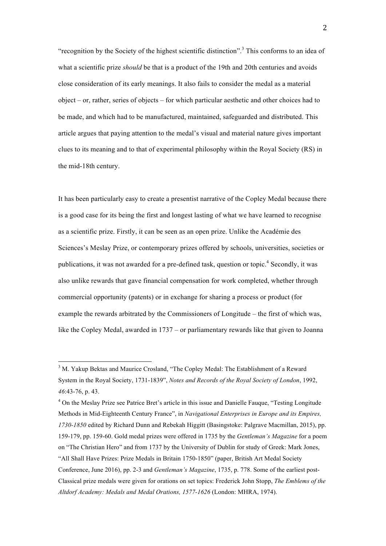"recognition by the Society of the highest scientific distinction".<sup>3</sup> This conforms to an idea of what a scientific prize *should* be that is a product of the 19th and 20th centuries and avoids close consideration of its early meanings. It also fails to consider the medal as a material object – or, rather, series of objects – for which particular aesthetic and other choices had to be made, and which had to be manufactured, maintained, safeguarded and distributed. This article argues that paying attention to the medal's visual and material nature gives important clues to its meaning and to that of experimental philosophy within the Royal Society (RS) in the mid-18th century.

It has been particularly easy to create a presentist narrative of the Copley Medal because there is a good case for its being the first and longest lasting of what we have learned to recognise as a scientific prize. Firstly, it can be seen as an open prize. Unlike the Académie des Sciences's Meslay Prize, or contemporary prizes offered by schools, universities, societies or publications, it was not awarded for a pre-defined task, question or topic.<sup>4</sup> Secondly, it was also unlike rewards that gave financial compensation for work completed, whether through commercial opportunity (patents) or in exchange for sharing a process or product (for example the rewards arbitrated by the Commissioners of Longitude – the first of which was, like the Copley Medal, awarded in 1737 – or parliamentary rewards like that given to Joanna

<sup>&</sup>lt;sup>3</sup> M. Yakup Bektas and Maurice Crosland, "The Copley Medal: The Establishment of a Reward System in the Royal Society, 1731-1839", *Notes and Records of the Royal Society of London*, 1992, *46*:43-76, p. 43.

<sup>&</sup>lt;sup>4</sup> On the Meslay Prize see Patrice Bret's article in this issue and Danielle Fauque, "Testing Longitude Methods in Mid-Eighteenth Century France", in *Navigational Enterprises in Europe and its Empires, 1730-1850* edited by Richard Dunn and Rebekah Higgitt (Basingstoke: Palgrave Macmillan, 2015), pp. 159-179, pp. 159-60. Gold medal prizes were offered in 1735 by the *Gentleman's Magazine* for a poem on "The Christian Hero" and from 1737 by the University of Dublin for study of Greek: Mark Jones, "All Shall Have Prizes: Prize Medals in Britain 1750-1850" (paper, British Art Medal Society Conference, June 2016), pp. 2-3 and *Gentleman's Magazine*, 1735, p. 778. Some of the earliest post-Classical prize medals were given for orations on set topics: Frederick John Stopp, *The Emblems of the Altdorf Academy: Medals and Medal Orations, 1577-1626* (London: MHRA, 1974).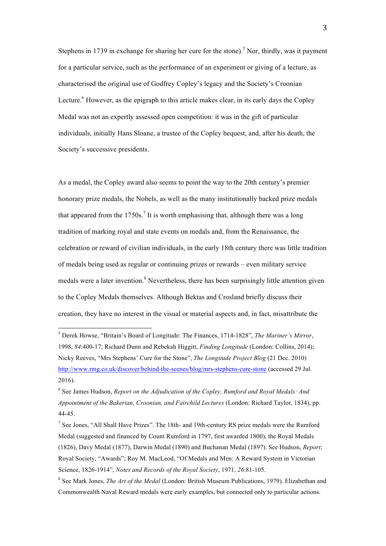Stephens in 1739 in exchange for sharing her cure for the stone).<sup>5</sup> Nor, thirdly, was it payment for a particular service, such as the performance of an experiment or giving of a lecture, as characterised the original use of Godfrey Copley's legacy and the Society's Croonian Lecture.<sup>6</sup> However, as the epigraph to this article makes clear, in its early days the Copley Medal was not an expertly assessed open competition: it was in the gift of particular individuals, initially Hans Sloane, a trustee of the Copley bequest, and, after his death, the Society's successive presidents.

As a medal, the Copley award also seems to point the way to the 20th century's premier honorary prize medals, the Nobels, as well as the many institutionally backed prize medals that appeared from the  $1750s$ .<sup>7</sup> It is worth emphasising that, although there was a long tradition of marking royal and state events on medals and, from the Renaissance, the celebration or reward of civilian individuals, in the early 18th century there was little tradition of medals being used as regular or continuing prizes or rewards – even military service medals were a later invention.<sup>8</sup> Nevertheless, there has been surprisingly little attention given to the Copley Medals themselves. Although Bektas and Crosland briefly discuss their creation, they have no interest in the visual or material aspects and, in fact, misattribute the

<sup>5</sup> Derek Howse, "Britain's Board of Longitude: The Finances, 1714-1828", *The Mariner's Mirror*, 1998, *84*:400-17; Richard Dunn and Rebekah Higgitt, *Finding Longitude* (London: Collins, 2014); Nicky Reeves, "Mrs Stephens' Cure for the Stone", *The Longitude Project Blog* (21 Dec. 2010) http://www.rmg.co.uk/discover/behind-the-scenes/blog/mrs-stephens-cure-stone (accessed 29 Jul. 2016).

<sup>6</sup> See James Hudson, *Report on the Adjudication of the Copley, Rumford and Royal Medals: And Appointment of the Bakerian, Croonian, and Fairchild Lectures* (London: Richard Taylor, 1834), pp. 44-45.

<sup>&</sup>lt;sup>7</sup> See Jones, "All Shall Have Prizes". The 18th- and 19th-century RS prize medals were the Rumford Medal (suggested and financed by Count Rumford in 1797, first awarded 1800), the Royal Medals (1826), Davy Medal (1877), Darwin Medal (1890) and Buchanan Medal (1897). See Hudson, *Report*; Royal Society, "Awards"; Roy M. MacLeod, "Of Medals and Men: A Reward System in Victorian Science, 1826-1914", *Notes and Records of the Royal Society*, 1971, *26*:81-105.

<sup>8</sup> See Mark Jones, *The Art of the Medal* (London: British Museum Publications, 1979). Elizabethan and Commonwealth Naval Reward medals were early examples, but connected only to particular actions.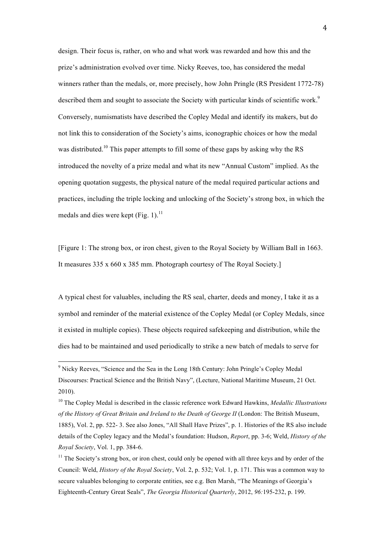design. Their focus is, rather, on who and what work was rewarded and how this and the prize's administration evolved over time. Nicky Reeves, too, has considered the medal winners rather than the medals, or, more precisely, how John Pringle (RS President 1772-78) described them and sought to associate the Society with particular kinds of scientific work.<sup>9</sup> Conversely, numismatists have described the Copley Medal and identify its makers, but do not link this to consideration of the Society's aims, iconographic choices or how the medal was distributed.<sup>10</sup> This paper attempts to fill some of these gaps by asking why the RS introduced the novelty of a prize medal and what its new "Annual Custom" implied. As the opening quotation suggests, the physical nature of the medal required particular actions and practices, including the triple locking and unlocking of the Society's strong box, in which the medals and dies were kept  $(Fig. 1).$ <sup>11</sup>

[Figure 1: The strong box, or iron chest, given to the Royal Society by William Ball in 1663. It measures 335 x 660 x 385 mm. Photograph courtesy of The Royal Society.]

A typical chest for valuables, including the RS seal, charter, deeds and money, I take it as a symbol and reminder of the material existence of the Copley Medal (or Copley Medals, since it existed in multiple copies). These objects required safekeeping and distribution, while the dies had to be maintained and used periodically to strike a new batch of medals to serve for

<sup>9</sup> Nicky Reeves, "Science and the Sea in the Long 18th Century: John Pringle's Copley Medal Discourses: Practical Science and the British Navy", (Lecture, National Maritime Museum, 21 Oct. 2010).

<sup>10</sup> The Copley Medal is described in the classic reference work Edward Hawkins, *Medallic Illustrations of the History of Great Britain and Ireland to the Death of George II* (London: The British Museum, 1885), Vol. 2, pp. 522- 3. See also Jones, "All Shall Have Prizes", p. 1. Histories of the RS also include details of the Copley legacy and the Medal's foundation: Hudson, *Report*, pp. 3-6; Weld, *History of the Royal Society*, Vol. 1, pp. 384-6.

<sup>&</sup>lt;sup>11</sup> The Society's strong box, or iron chest, could only be opened with all three keys and by order of the Council: Weld, *History of the Royal Society*, Vol. 2, p. 532; Vol. 1, p. 171. This was a common way to secure valuables belonging to corporate entities, see e.g. Ben Marsh, "The Meanings of Georgia's Eighteenth-Century Great Seals", *The Georgia Historical Quarterly*, 2012, *96:*195-232, p. 199.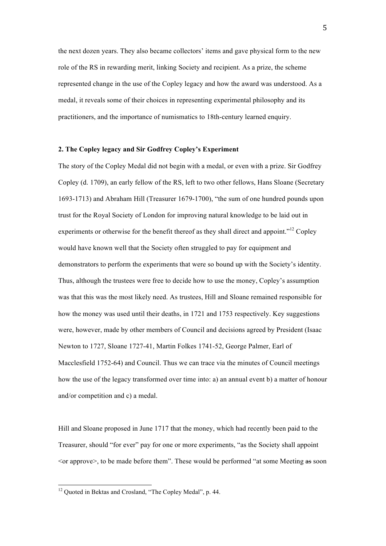the next dozen years. They also became collectors' items and gave physical form to the new role of the RS in rewarding merit, linking Society and recipient. As a prize, the scheme represented change in the use of the Copley legacy and how the award was understood. As a medal, it reveals some of their choices in representing experimental philosophy and its practitioners, and the importance of numismatics to 18th-century learned enquiry.

#### **2. The Copley legacy and Sir Godfrey Copley's Experiment**

The story of the Copley Medal did not begin with a medal, or even with a prize. Sir Godfrey Copley (d. 1709), an early fellow of the RS, left to two other fellows, Hans Sloane (Secretary 1693-1713) and Abraham Hill (Treasurer 1679-1700), "the sum of one hundred pounds upon trust for the Royal Society of London for improving natural knowledge to be laid out in experiments or otherwise for the benefit thereof as they shall direct and appoint."<sup>12</sup> Copley would have known well that the Society often struggled to pay for equipment and demonstrators to perform the experiments that were so bound up with the Society's identity. Thus, although the trustees were free to decide how to use the money, Copley's assumption was that this was the most likely need. As trustees, Hill and Sloane remained responsible for how the money was used until their deaths, in 1721 and 1753 respectively. Key suggestions were, however, made by other members of Council and decisions agreed by President (Isaac Newton to 1727, Sloane 1727-41, Martin Folkes 1741-52, George Palmer, Earl of Macclesfield 1752-64) and Council. Thus we can trace via the minutes of Council meetings how the use of the legacy transformed over time into: a) an annual event b) a matter of honour and/or competition and c) a medal.

Hill and Sloane proposed in June 1717 that the money, which had recently been paid to the Treasurer, should "for ever" pay for one or more experiments, "as the Society shall appoint  $\leq$  approve $\geq$ , to be made before them". These would be performed "at some Meeting as soon

<sup>&</sup>lt;sup>12</sup> Ouoted in Bektas and Crosland, "The Copley Medal", p. 44.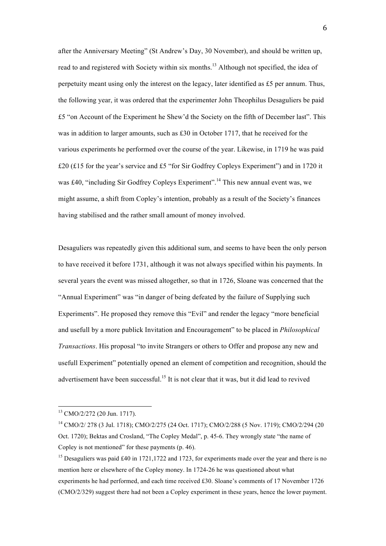after the Anniversary Meeting" (St Andrew's Day, 30 November), and should be written up, read to and registered with Society within six months.<sup>13</sup> Although not specified, the idea of perpetuity meant using only the interest on the legacy, later identified as £5 per annum. Thus, the following year, it was ordered that the experimenter John Theophilus Desaguliers be paid £5 "on Account of the Experiment he Shew'd the Society on the fifth of December last". This was in addition to larger amounts, such as £30 in October 1717, that he received for the various experiments he performed over the course of the year. Likewise, in 1719 he was paid £20 (£15 for the year's service and £5 "for Sir Godfrey Copleys Experiment") and in 1720 it was £40, "including Sir Godfrey Copleys Experiment".<sup>14</sup> This new annual event was, we might assume, a shift from Copley's intention, probably as a result of the Society's finances having stabilised and the rather small amount of money involved.

Desaguliers was repeatedly given this additional sum, and seems to have been the only person to have received it before 1731, although it was not always specified within his payments. In several years the event was missed altogether, so that in 1726, Sloane was concerned that the "Annual Experiment" was "in danger of being defeated by the failure of Supplying such Experiments". He proposed they remove this "Evil" and render the legacy "more beneficial and usefull by a more publick Invitation and Encouragement" to be placed in *Philosophical Transactions*. His proposal "to invite Strangers or others to Offer and propose any new and usefull Experiment" potentially opened an element of competition and recognition, should the advertisement have been successful.<sup>15</sup> It is not clear that it was, but it did lead to revived

<sup>13</sup> CMO/2/272 (20 Jun. 1717).

<sup>14</sup> CMO/2/ 278 (3 Jul. 1718); CMO/2/275 (24 Oct. 1717); CMO/2/288 (5 Nov. 1719); CMO/2/294 (20 Oct. 1720); Bektas and Crosland, "The Copley Medal", p. 45-6. They wrongly state "the name of Copley is not mentioned" for these payments (p. 46).

<sup>&</sup>lt;sup>15</sup> Desaguliers was paid £40 in 1721,1722 and 1723, for experiments made over the year and there is no mention here or elsewhere of the Copley money. In 1724-26 he was questioned about what experiments he had performed, and each time received £30. Sloane's comments of 17 November 1726 (CMO/2/329) suggest there had not been a Copley experiment in these years, hence the lower payment.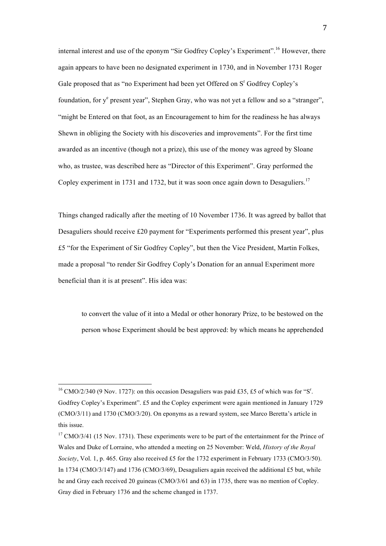internal interest and use of the eponym "Sir Godfrey Copley's Experiment".<sup>16</sup> However, there again appears to have been no designated experiment in 1730, and in November 1731 Roger Gale proposed that as "no Experiment had been yet Offered on  $S<sup>r</sup>$  Godfrey Copley's foundation, for y<sup>e</sup> present year", Stephen Gray, who was not yet a fellow and so a "stranger", "might be Entered on that foot, as an Encouragement to him for the readiness he has always Shewn in obliging the Society with his discoveries and improvements". For the first time awarded as an incentive (though not a prize), this use of the money was agreed by Sloane who, as trustee, was described here as "Director of this Experiment". Gray performed the Copley experiment in 1731 and 1732, but it was soon once again down to Desaguliers.<sup>17</sup>

Things changed radically after the meeting of 10 November 1736. It was agreed by ballot that Desaguliers should receive £20 payment for "Experiments performed this present year", plus £5 "for the Experiment of Sir Godfrey Copley", but then the Vice President, Martin Folkes, made a proposal "to render Sir Godfrey Coply's Donation for an annual Experiment more beneficial than it is at present". His idea was:

to convert the value of it into a Medal or other honorary Prize, to be bestowed on the person whose Experiment should be best approved: by which means he apprehended

<sup>&</sup>lt;sup>16</sup> CMO/2/340 (9 Nov. 1727): on this occasion Desaguliers was paid £35, £5 of which was for "S<sup>r</sup>. Godfrey Copley's Experiment". £5 and the Copley experiment were again mentioned in January 1729 (CMO/3/11) and 1730 (CMO/3/20). On eponyms as a reward system, see Marco Beretta's article in this issue.

<sup>&</sup>lt;sup>17</sup> CMO/3/41 (15 Nov. 1731). These experiments were to be part of the entertainment for the Prince of Wales and Duke of Lorraine, who attended a meeting on 25 November: Weld, *History of the Royal Society*, Vol. 1, p. 465. Gray also received £5 for the 1732 experiment in February 1733 (CMO/3/50). In 1734 (CMO/3/147) and 1736 (CMO/3/69), Desaguliers again received the additional £5 but, while he and Gray each received 20 guineas (CMO/3/61 and 63) in 1735, there was no mention of Copley. Gray died in February 1736 and the scheme changed in 1737.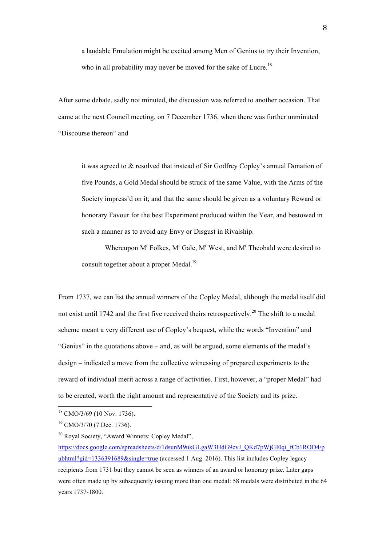a laudable Emulation might be excited among Men of Genius to try their Invention, who in all probability may never be moved for the sake of Lucre.<sup>18</sup>

After some debate, sadly not minuted, the discussion was referred to another occasion. That came at the next Council meeting, on 7 December 1736, when there was further unminuted "Discourse thereon" and

it was agreed to & resolved that instead of Sir Godfrey Copley's annual Donation of five Pounds, a Gold Medal should be struck of the same Value, with the Arms of the Society impress'd on it; and that the same should be given as a voluntary Reward or honorary Favour for the best Experiment produced within the Year, and bestowed in such a manner as to avoid any Envy or Disgust in Rivalship.

Whereupon  $M<sup>r</sup>$  Folkes,  $M<sup>r</sup>$  Gale,  $M<sup>r</sup>$  West, and  $M<sup>r</sup>$  Theobald were desired to consult together about a proper Medal.<sup>19</sup>

From 1737, we can list the annual winners of the Copley Medal, although the medal itself did not exist until 1742 and the first five received theirs retrospectively.<sup>20</sup> The shift to a medal scheme meant a very different use of Copley's bequest, while the words "Invention" and "Genius" in the quotations above – and, as will be argued, some elements of the medal's design – indicated a move from the collective witnessing of prepared experiments to the reward of individual merit across a range of activities. First, however, a "proper Medal" had to be created, worth the right amount and representative of the Society and its prize.

<sup>18</sup> CMO/3/69 (10 Nov. 1736).

 $19$  CMO/3/70 (7 Dec. 1736).

<sup>20</sup> Royal Society, "Award Winners: Copley Medal",

https://docs.google.com/spreadsheets/d/1dsunM9ukGLgaW3HdG9cvJ\_QKd7pWjGI0qi\_fCb1ROD4/p ubhtml?gid=1336391689&single=true (accessed 1 Aug. 2016). This list includes Copley legacy recipients from 1731 but they cannot be seen as winners of an award or honorary prize. Later gaps were often made up by subsequently issuing more than one medal: 58 medals were distributed in the 64 years 1737-1800.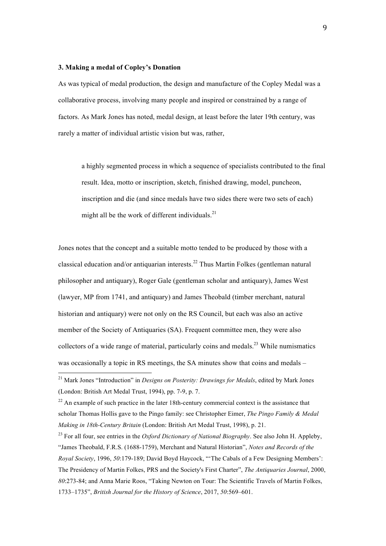#### **3. Making a medal of Copley's Donation**

 

As was typical of medal production, the design and manufacture of the Copley Medal was a collaborative process, involving many people and inspired or constrained by a range of factors. As Mark Jones has noted, medal design, at least before the later 19th century, was rarely a matter of individual artistic vision but was, rather,

a highly segmented process in which a sequence of specialists contributed to the final result. Idea, motto or inscription, sketch, finished drawing, model, puncheon, inscription and die (and since medals have two sides there were two sets of each) might all be the work of different individuals. $^{21}$ 

Jones notes that the concept and a suitable motto tended to be produced by those with a classical education and/or antiquarian interests.<sup>22</sup> Thus Martin Folkes (gentleman natural philosopher and antiquary), Roger Gale (gentleman scholar and antiquary), James West (lawyer, MP from 1741, and antiquary) and James Theobald (timber merchant, natural historian and antiquary) were not only on the RS Council, but each was also an active member of the Society of Antiquaries (SA). Frequent committee men, they were also collectors of a wide range of material, particularly coins and medals.<sup>23</sup> While numismatics was occasionally a topic in RS meetings, the SA minutes show that coins and medals –

<sup>21</sup> Mark Jones "Introduction" in *Designs on Posterity: Drawings for Medals*, edited by Mark Jones (London: British Art Medal Trust, 1994), pp. 7-9, p. 7.

 $22$  An example of such practice in the later 18th-century commercial context is the assistance that scholar Thomas Hollis gave to the Pingo family: see Christopher Eimer, *The Pingo Family & Medal Making in 18th-Century Britain* (London: British Art Medal Trust, 1998), p. 21.

<sup>23</sup> For all four, see entries in the *Oxford Dictionary of National Biography*. See also John H. Appleby, "James Theobald, F.R.S. (1688-1759), Merchant and Natural Historian", *Notes and Records of the Royal Society*, 1996, *50*:179-189; David Boyd Haycock, "'The Cabals of a Few Designing Members': The Presidency of Martin Folkes, PRS and the Society's First Charter", *The Antiquaries Journal*, 2000, *80*:273-84; and Anna Marie Roos, "Taking Newton on Tour: The Scientific Travels of Martin Folkes, 1733–1735", *British Journal for the History of Science*, 2017, *50*:569–601.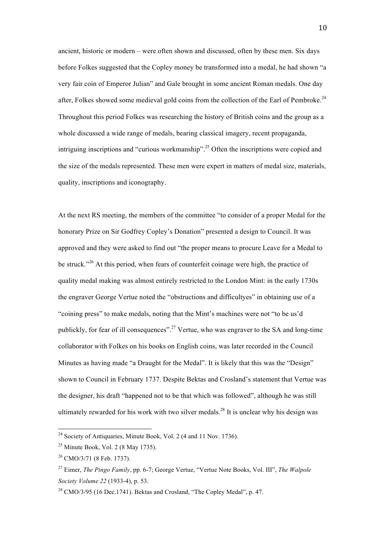ancient, historic or modern – were often shown and discussed, often by these men. Six days before Folkes suggested that the Copley money be transformed into a medal, he had shown "a very fair coin of Emperor Julian" and Gale brought in some ancient Roman medals. One day after, Folkes showed some medieval gold coins from the collection of the Earl of Pembroke.<sup>24</sup> Throughout this period Folkes was researching the history of British coins and the group as a whole discussed a wide range of medals, bearing classical imagery, recent propaganda, intriguing inscriptions and "curious workmanship".<sup>25</sup> Often the inscriptions were copied and the size of the medals represented. These men were expert in matters of medal size, materials, quality, inscriptions and iconography.

At the next RS meeting, the members of the committee "to consider of a proper Medal for the honorary Prize on Sir Godfrey Copley's Donation" presented a design to Council. It was approved and they were asked to find out "the proper means to procure Leave for a Medal to be struck."<sup>26</sup> At this period, when fears of counterfeit coinage were high, the practice of quality medal making was almost entirely restricted to the London Mint: in the early 1730s the engraver George Vertue noted the "obstructions and difficultyes" in obtaining use of a "coining press" to make medals, noting that the Mint's machines were not "to be us'd publickly, for fear of ill consequences".<sup>27</sup> Vertue, who was engraver to the SA and long-time collaborator with Folkes on his books on English coins, was later recorded in the Council Minutes as having made "a Draught for the Medal". It is likely that this was the "Design" shown to Council in February 1737. Despite Bektas and Crosland's statement that Vertue was the designer, his draft "happened not to be that which was followed", although he was still ultimately rewarded for his work with two silver medals. <sup>28</sup> It is unclear why his design was

<sup>&</sup>lt;sup>24</sup> Society of Antiquaries, Minute Book, Vol. 2 (4 and 11 Nov. 1736).

 $25$  Minute Book, Vol. 2 (8 May 1735).

 $26$  CMO/3/71 (8 Feb. 1737).

<sup>27</sup> Eimer, *The Pingo Family*, pp. 6-7; George Vertue, "Vertue Note Books, Vol. III", *The Walpole Society Volume 22* (1933-4), p. 53.

<sup>&</sup>lt;sup>28</sup> CMO/3/95 (16 Dec.1741). Bektas and Crosland, "The Copley Medal", p. 47.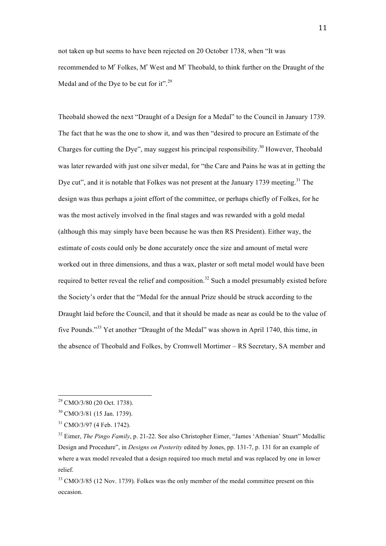not taken up but seems to have been rejected on 20 October 1738, when "It was recommended to M<sup>r</sup> Folkes, M<sup>r</sup> West and M<sup>r</sup> Theobald, to think further on the Draught of the Medal and of the Dye to be cut for it".<sup>29</sup>

Theobald showed the next "Draught of a Design for a Medal" to the Council in January 1739. The fact that he was the one to show it, and was then "desired to procure an Estimate of the Charges for cutting the Dye", may suggest his principal responsibility.<sup>30</sup> However, Theobald was later rewarded with just one silver medal, for "the Care and Pains he was at in getting the Dye cut", and it is notable that Folkes was not present at the January 1739 meeting.<sup>31</sup> The design was thus perhaps a joint effort of the committee, or perhaps chiefly of Folkes, for he was the most actively involved in the final stages and was rewarded with a gold medal (although this may simply have been because he was then RS President). Either way, the estimate of costs could only be done accurately once the size and amount of metal were worked out in three dimensions, and thus a wax, plaster or soft metal model would have been required to better reveal the relief and composition.<sup>32</sup> Such a model presumably existed before the Society's order that the "Medal for the annual Prize should be struck according to the Draught laid before the Council, and that it should be made as near as could be to the value of five Pounds."<sup>33</sup> Yet another "Draught of the Medal" was shown in April 1740, this time, in the absence of Theobald and Folkes, by Cromwell Mortimer – RS Secretary, SA member and

<sup>29</sup> CMO/3/80 (20 Oct. 1738).

<sup>30</sup> CMO/3/81 (15 Jan. 1739).

 $31$  CMO/3/97 (4 Feb. 1742).

<sup>&</sup>lt;sup>32</sup> Eimer, *The Pingo Family*, p. 21-22. See also Christopher Eimer, "James 'Athenian' Stuart" Medallic Design and Procedure", in *Designs on Posterity* edited by Jones, pp. 131-7, p. 131 for an example of where a wax model revealed that a design required too much metal and was replaced by one in lower relief.

 $33$  CMO/3/85 (12 Nov. 1739). Folkes was the only member of the medal committee present on this occasion.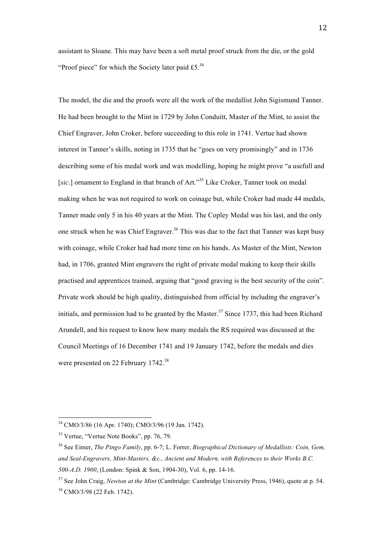assistant to Sloane. This may have been a soft metal proof struck from the die, or the gold "Proof piece" for which the Society later paid  $£5.^{34}$ 

The model, the die and the proofs were all the work of the medallist John Sigismund Tanner. He had been brought to the Mint in 1729 by John Conduitt, Master of the Mint, to assist the Chief Engraver, John Croker, before succeeding to this role in 1741. Vertue had shown interest in Tanner's skills, noting in 1735 that he "goes on very promisingly" and in 1736 describing some of his medal work and wax modelling, hoping he might prove "a usefull and [sic.] ornament to England in that branch of Art."<sup>35</sup> Like Croker, Tanner took on medal making when he was not required to work on coinage but, while Croker had made 44 medals, Tanner made only 5 in his 40 years at the Mint. The Copley Medal was his last, and the only one struck when he was Chief Engraver.<sup>36</sup> This was due to the fact that Tanner was kept busy with coinage, while Croker had had more time on his hands. As Master of the Mint, Newton had, in 1706, granted Mint engravers the right of private medal making to keep their skills practised and apprentices trained, arguing that "good graving is the best security of the coin". Private work should be high quality, distinguished from official by including the engraver's initials, and permission had to be granted by the Master.<sup>37</sup> Since 1737, this had been Richard Arundell, and his request to know how many medals the RS required was discussed at the Council Meetings of 16 December 1741 and 19 January 1742, before the medals and dies were presented on 22 February 1742.<sup>38</sup>

<sup>34</sup> CMO/3/86 (16 Apr. 1740); CMO/3/96 (19 Jan. 1742).

<sup>&</sup>lt;sup>35</sup> Vertue, "Vertue Note Books", pp. 76, 79.

<sup>36</sup> See Eimer, *The Pingo Family*, pp. 6-7; L. Forrer, *Biographical Dictionary of Medallists: Coin, Gem, and Seal-Engravers, Mint-Masters, &c., Ancient and Modern, with References to their Works B.C. 500-A.D. 1900*, (London: Spink & Son, 1904-30), Vol. 6, pp. 14-16.

<sup>37</sup> See John Craig, *Newton at the Mint* (Cambridge: Cambridge University Press, 1946), quote at p. 54. <sup>38</sup> CMO/3/98 (22 Feb. 1742).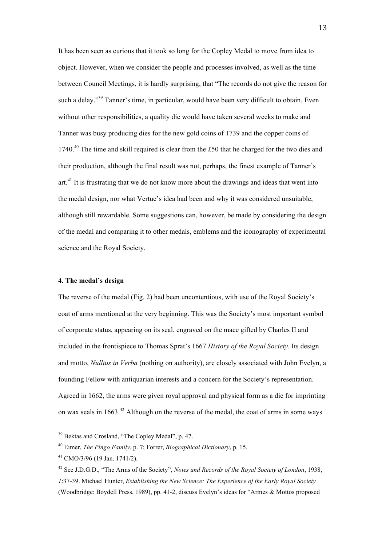It has been seen as curious that it took so long for the Copley Medal to move from idea to object. However, when we consider the people and processes involved, as well as the time between Council Meetings, it is hardly surprising, that "The records do not give the reason for such a delay."<sup>39</sup> Tanner's time, in particular, would have been very difficult to obtain. Even without other responsibilities, a quality die would have taken several weeks to make and Tanner was busy producing dies for the new gold coins of 1739 and the copper coins of 1740.<sup>40</sup> The time and skill required is clear from the £50 that he charged for the two dies and their production, although the final result was not, perhaps, the finest example of Tanner's art.<sup>41</sup> It is frustrating that we do not know more about the drawings and ideas that went into the medal design, nor what Vertue's idea had been and why it was considered unsuitable, although still rewardable. Some suggestions can, however, be made by considering the design of the medal and comparing it to other medals, emblems and the iconography of experimental science and the Royal Society.

### **4. The medal's design**

The reverse of the medal (Fig. 2) had been uncontentious, with use of the Royal Society's coat of arms mentioned at the very beginning. This was the Society's most important symbol of corporate status, appearing on its seal, engraved on the mace gifted by Charles II and included in the frontispiece to Thomas Sprat's 1667 *History of the Royal Society*. Its design and motto, *Nullius in Verba* (nothing on authority), are closely associated with John Evelyn, a founding Fellow with antiquarian interests and a concern for the Society's representation. Agreed in 1662, the arms were given royal approval and physical form as a die for imprinting on wax seals in  $1663<sup>42</sup>$  Although on the reverse of the medal, the coat of arms in some ways

<sup>39</sup> Bektas and Crosland, "The Copley Medal", p. 47.

<sup>40</sup> Eimer, *The Pingo Family*, p. 7; Forrer, *Biographical Dictionary*, p. 15.

<sup>41</sup> CMO/3/96 (19 Jan. 1741/2).

<sup>42</sup> See J.D.G.D., "The Arms of the Society", *Notes and Records of the Royal Society of London*, 1938, *1*:37-39. Michael Hunter, *Establishing the New Science: The Experience of the Early Royal Society* (Woodbridge: Boydell Press, 1989), pp. 41-2, discuss Evelyn's ideas for "Armes & Mottos proposed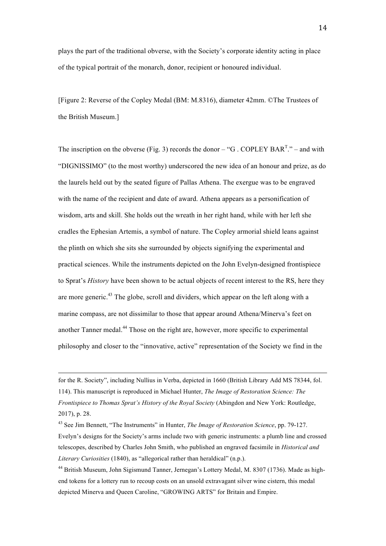plays the part of the traditional obverse, with the Society's corporate identity acting in place of the typical portrait of the monarch, donor, recipient or honoured individual.

[Figure 2: Reverse of the Copley Medal (BM: M.8316), diameter 42mm. ©The Trustees of the British Museum.]

The inscription on the obverse (Fig. 3) records the donor  $-$  "G. COPLEY BAR<sup>T</sup>." – and with "DIGNISSIMO" (to the most worthy) underscored the new idea of an honour and prize, as do the laurels held out by the seated figure of Pallas Athena. The exergue was to be engraved with the name of the recipient and date of award. Athena appears as a personification of wisdom, arts and skill. She holds out the wreath in her right hand, while with her left she cradles the Ephesian Artemis, a symbol of nature. The Copley armorial shield leans against the plinth on which she sits she surrounded by objects signifying the experimental and practical sciences. While the instruments depicted on the John Evelyn-designed frontispiece to Sprat's *History* have been shown to be actual objects of recent interest to the RS, here they are more generic.<sup>43</sup> The globe, scroll and dividers, which appear on the left along with a marine compass, are not dissimilar to those that appear around Athena/Minerva's feet on another Tanner medal.<sup>44</sup> Those on the right are, however, more specific to experimental philosophy and closer to the "innovative, active" representation of the Society we find in the

for the R. Society", including Nullius in Verba, depicted in 1660 (British Library Add MS 78344, fol. 114). This manuscript is reproduced in Michael Hunter, *The Image of Restoration Science: The Frontispiece to Thomas Sprat's History of the Royal Society* (Abingdon and New York: Routledge, 2017), p. 28.

<u> 1989 - Johann Barbara, martxa alemaniar argamento de la contrada de la contrada de la contrada de la contrada</u>

<sup>43</sup> See Jim Bennett, "The Instruments" in Hunter, *The Image of Restoration Science*, pp. 79-127. Evelyn's designs for the Society's arms include two with generic instruments: a plumb line and crossed telescopes, described by Charles John Smith, who published an engraved facsimile in *Historical and Literary Curiosities* (1840), as "allegorical rather than heraldical" (n.p.).

<sup>&</sup>lt;sup>44</sup> British Museum, John Sigismund Tanner, Jernegan's Lottery Medal, M. 8307 (1736). Made as highend tokens for a lottery run to recoup costs on an unsold extravagant silver wine cistern, this medal depicted Minerva and Queen Caroline, "GROWING ARTS" for Britain and Empire.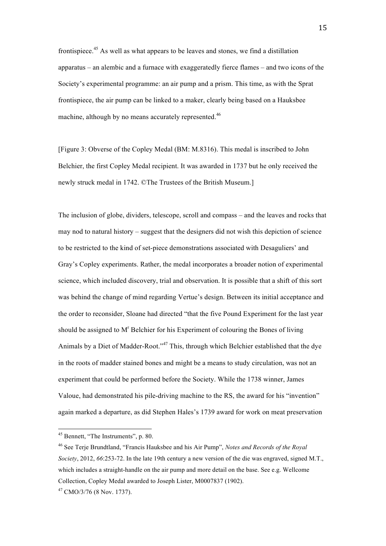frontispiece.<sup>45</sup> As well as what appears to be leaves and stones, we find a distillation apparatus – an alembic and a furnace with exaggeratedly fierce flames – and two icons of the Society's experimental programme: an air pump and a prism. This time, as with the Sprat frontispiece, the air pump can be linked to a maker, clearly being based on a Hauksbee machine, although by no means accurately represented.<sup>46</sup>

[Figure 3: Obverse of the Copley Medal (BM: M.8316). This medal is inscribed to John Belchier, the first Copley Medal recipient. It was awarded in 1737 but he only received the newly struck medal in 1742. ©The Trustees of the British Museum.]

The inclusion of globe, dividers, telescope, scroll and compass – and the leaves and rocks that may nod to natural history – suggest that the designers did not wish this depiction of science to be restricted to the kind of set-piece demonstrations associated with Desaguliers' and Gray's Copley experiments. Rather, the medal incorporates a broader notion of experimental science, which included discovery, trial and observation. It is possible that a shift of this sort was behind the change of mind regarding Vertue's design. Between its initial acceptance and the order to reconsider, Sloane had directed "that the five Pound Experiment for the last year should be assigned to  $M<sup>r</sup>$  Belchier for his Experiment of colouring the Bones of living Animals by a Diet of Madder-Root."<sup>47</sup> This, through which Belchier established that the dye in the roots of madder stained bones and might be a means to study circulation, was not an experiment that could be performed before the Society. While the 1738 winner, James Valoue, had demonstrated his pile-driving machine to the RS, the award for his "invention" again marked a departure, as did Stephen Hales's 1739 award for work on meat preservation

 <sup>45</sup> Bennett, "The Instruments", p. 80.

<sup>46</sup> See Terje Brundtland, "Francis Hauksbee and his Air Pump", *Notes and Records of the Royal Society*, 2012, *66*:253-72. In the late 19th century a new version of the die was engraved, signed M.T., which includes a straight-handle on the air pump and more detail on the base. See e.g. Wellcome Collection, Copley Medal awarded to Joseph Lister, M0007837 (1902).

 $47$  CMO/3/76 (8 Nov. 1737).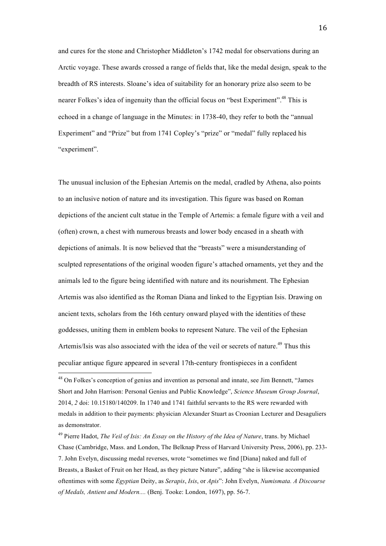and cures for the stone and Christopher Middleton's 1742 medal for observations during an Arctic voyage. These awards crossed a range of fields that, like the medal design, speak to the breadth of RS interests. Sloane's idea of suitability for an honorary prize also seem to be nearer Folkes's idea of ingenuity than the official focus on "best Experiment".<sup>48</sup> This is echoed in a change of language in the Minutes: in 1738-40, they refer to both the "annual Experiment" and "Prize" but from 1741 Copley's "prize" or "medal" fully replaced his "experiment".

The unusual inclusion of the Ephesian Artemis on the medal, cradled by Athena, also points to an inclusive notion of nature and its investigation. This figure was based on Roman depictions of the ancient cult statue in the Temple of Artemis: a female figure with a veil and (often) crown, a chest with numerous breasts and lower body encased in a sheath with depictions of animals. It is now believed that the "breasts" were a misunderstanding of sculpted representations of the original wooden figure's attached ornaments, yet they and the animals led to the figure being identified with nature and its nourishment. The Ephesian Artemis was also identified as the Roman Diana and linked to the Egyptian Isis. Drawing on ancient texts, scholars from the 16th century onward played with the identities of these goddesses, uniting them in emblem books to represent Nature. The veil of the Ephesian Artemis/Isis was also associated with the idea of the veil or secrets of nature.<sup>49</sup> Thus this peculiar antique figure appeared in several 17th-century frontispieces in a confident

<sup>48</sup> On Folkes's conception of genius and invention as personal and innate, see Jim Bennett, "James Short and John Harrison: Personal Genius and Public Knowledge", *Science Museum Group Journal*, 2014, *2* doi: 10.15180/140209. In 1740 and 1741 faithful servants to the RS were rewarded with medals in addition to their payments: physician Alexander Stuart as Croonian Lecturer and Desaguliers as demonstrator.

<sup>49</sup> Pierre Hadot, *The Veil of Isis: An Essay on the History of the Idea of Nature*, trans. by Michael Chase (Cambridge, Mass. and London, The Belknap Press of Harvard University Press, 2006), pp. 233- 7. John Evelyn, discussing medal reverses, wrote "sometimes we find [Diana] naked and full of Breasts, a Basket of Fruit on her Head, as they picture Nature", adding "she is likewise accompanied oftentimes with some *Egyptian* Deity, as *Serapis*, *Isis*, or *Apis*": John Evelyn, *Numismata. A Discourse of Medals, Antient and Modern....* (Benj. Tooke: London, 1697), pp. 56-7.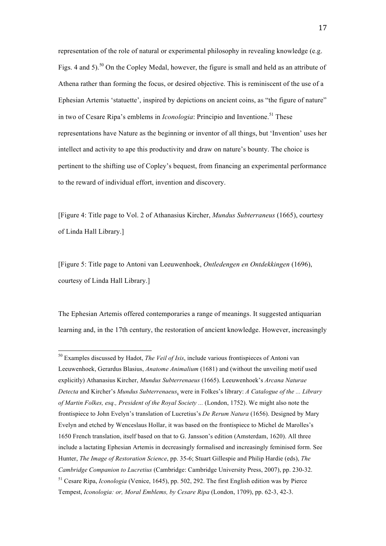representation of the role of natural or experimental philosophy in revealing knowledge (e.g. Figs. 4 and 5).<sup>50</sup> On the Copley Medal, however, the figure is small and held as an attribute of Athena rather than forming the focus, or desired objective. This is reminiscent of the use of a Ephesian Artemis 'statuette', inspired by depictions on ancient coins, as "the figure of nature" in two of Cesare Ripa's emblems in *Iconologia*: Principio and Inventione.<sup>51</sup> These representations have Nature as the beginning or inventor of all things, but 'Invention' uses her intellect and activity to ape this productivity and draw on nature's bounty. The choice is pertinent to the shifting use of Copley's bequest, from financing an experimental performance to the reward of individual effort, invention and discovery.

[Figure 4: Title page to Vol. 2 of Athanasius Kircher, *Mundus Subterraneus* (1665), courtesy of Linda Hall Library.]

[Figure 5: Title page to Antoni van Leeuwenhoek, *Ontledengen en Ontdekkingen* (1696), courtesy of Linda Hall Library.]

The Ephesian Artemis offered contemporaries a range of meanings. It suggested antiquarian learning and, in the 17th century, the restoration of ancient knowledge. However, increasingly

<sup>50</sup> Examples discussed by Hadot, *The Veil of Isis*, include various frontispieces of Antoni van Leeuwenhoek, Gerardus Blasius, *Anatome Animalium* (1681) and (without the unveiling motif used explicitly) Athanasius Kircher, *Mundus Subterrenaeus* (1665). Leeuwenhoek's *Arcana Naturae Detecta* and Kircher's *Mundus Subterrenaeus*, were in Folkes's library: *A Catalogue of the ... Library of Martin Folkes, esq., President of the Royal Society ...* (London, 1752). We might also note the frontispiece to John Evelyn's translation of Lucretius's *De Rerum Natura* (1656). Designed by Mary Evelyn and etched by Wenceslaus Hollar, it was based on the frontispiece to Michel de Marolles's 1650 French translation, itself based on that to G. Jansson's edition (Amsterdam, 1620). All three include a lactating Ephesian Artemis in decreasingly formalised and increasingly feminised form. See Hunter, *The Image of Restoration Science*, pp. 35-6; Stuart Gillespie and Philip Hardie (eds), *The Cambridge Companion to Lucretius* (Cambridge: Cambridge University Press, 2007), pp. 230-32. <sup>51</sup> Cesare Ripa, *Iconologia* (Venice, 1645), pp. 502, 292. The first English edition was by Pierce Tempest, *Iconologia: or, Moral Emblems, by Cesare Ripa* (London, 1709), pp. 62-3, 42-3.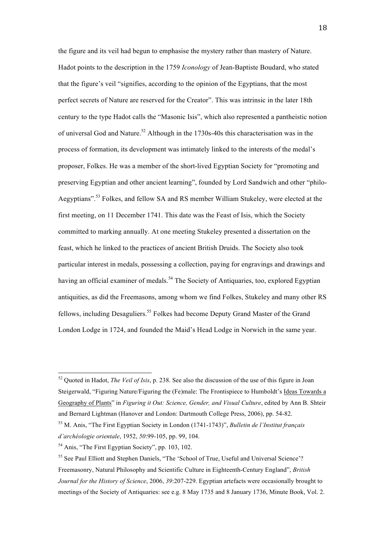the figure and its veil had begun to emphasise the mystery rather than mastery of Nature. Hadot points to the description in the 1759 *Iconology* of Jean-Baptiste Boudard, who stated that the figure's veil "signifies, according to the opinion of the Egyptians, that the most perfect secrets of Nature are reserved for the Creator". This was intrinsic in the later 18th century to the type Hadot calls the "Masonic Isis", which also represented a pantheistic notion of universal God and Nature.<sup>52</sup> Although in the 1730s-40s this characterisation was in the process of formation, its development was intimately linked to the interests of the medal's proposer, Folkes. He was a member of the short-lived Egyptian Society for "promoting and preserving Egyptian and other ancient learning", founded by Lord Sandwich and other "philo-Aegyptians".<sup>53</sup> Folkes, and fellow SA and RS member William Stukeley, were elected at the first meeting, on 11 December 1741. This date was the Feast of Isis, which the Society committed to marking annually. At one meeting Stukeley presented a dissertation on the feast, which he linked to the practices of ancient British Druids. The Society also took particular interest in medals, possessing a collection, paying for engravings and drawings and having an official examiner of medals.<sup>54</sup> The Society of Antiquaries, too, explored Egyptian antiquities, as did the Freemasons, among whom we find Folkes, Stukeley and many other RS fellows, including Desaguliers.<sup>55</sup> Folkes had become Deputy Grand Master of the Grand London Lodge in 1724, and founded the Maid's Head Lodge in Norwich in the same year.

<sup>52</sup> Quoted in Hadot, *The Veil of Isis*, p. 238. See also the discussion of the use of this figure in Joan Steigerwald, "Figuring Nature/Figuring the (Fe)male: The Frontispiece to Humboldt's Ideas Towards a Geography of Plants" in *Figuring it Out: Science, Gender, and Visual Culture*, edited by Ann B. Shteir and Bernard Lightman (Hanover and London: Dartmouth College Press, 2006), pp. 54-82.

<sup>53</sup> M. Anis, "The First Egyptian Society in London (1741-1743)", *Bulletin de l'Institut français d'archéologie orientale*, 1952, *50*:99-105, pp. 99, 104.

<sup>54</sup> Anis, "The First Egyptian Society", pp. 103, 102.

<sup>55</sup> See Paul Elliott and Stephen Daniels, "The 'School of True, Useful and Universal Science'? Freemasonry, Natural Philosophy and Scientific Culture in Eighteenth-Century England", *British Journal for the History of Science*, 2006, *39*:207-229. Egyptian artefacts were occasionally brought to meetings of the Society of Antiquaries: see e.g. 8 May 1735 and 8 January 1736, Minute Book, Vol. 2.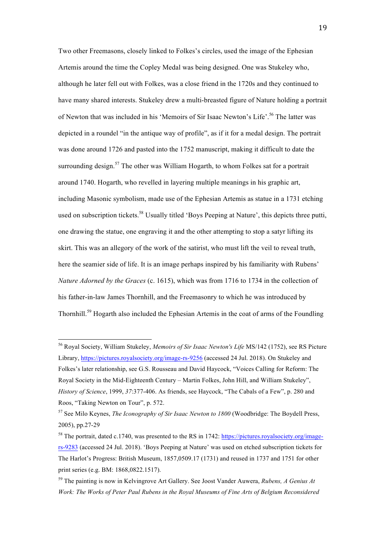Two other Freemasons, closely linked to Folkes's circles, used the image of the Ephesian Artemis around the time the Copley Medal was being designed. One was Stukeley who, although he later fell out with Folkes, was a close friend in the 1720s and they continued to have many shared interests. Stukeley drew a multi-breasted figure of Nature holding a portrait of Newton that was included in his 'Memoirs of Sir Isaac Newton's Life'.<sup>56</sup> The latter was depicted in a roundel "in the antique way of profile", as if it for a medal design. The portrait was done around 1726 and pasted into the 1752 manuscript, making it difficult to date the surrounding design.<sup>57</sup> The other was William Hogarth, to whom Folkes sat for a portrait around 1740. Hogarth, who revelled in layering multiple meanings in his graphic art, including Masonic symbolism, made use of the Ephesian Artemis as statue in a 1731 etching used on subscription tickets.<sup>58</sup> Usually titled 'Boys Peeping at Nature', this depicts three putti, one drawing the statue, one engraving it and the other attempting to stop a satyr lifting its skirt. This was an allegory of the work of the satirist, who must lift the veil to reveal truth, here the seamier side of life. It is an image perhaps inspired by his familiarity with Rubens' *Nature Adorned by the Graces* (c. 1615), which was from 1716 to 1734 in the collection of his father-in-law James Thornhill, and the Freemasonry to which he was introduced by Thornhill.<sup>59</sup> Hogarth also included the Ephesian Artemis in the coat of arms of the Foundling

<sup>56</sup> Royal Society, William Stukeley, *Memoirs of Sir Isaac Newton's Life* MS/142 (1752), see RS Picture Library, https://pictures.royalsociety.org/image-rs-9256 (accessed 24 Jul. 2018). On Stukeley and Folkes's later relationship, see G.S. Rousseau and David Haycock, "Voices Calling for Reform: The Royal Society in the Mid-Eighteenth Century – Martin Folkes, John Hill, and William Stukeley", *History of Science*, 1999, *37*:377-406. As friends, see Haycock, "The Cabals of a Few", p. 280 and Roos, "Taking Newton on Tour", p. 572.

<sup>57</sup> See Milo Keynes, *The Iconography of Sir Isaac Newton to 1800* (Woodbridge: The Boydell Press, 2005), pp.27-29

<sup>58</sup> The portrait, dated c.1740, was presented to the RS in 1742: https://pictures.royalsociety.org/imagers-9283 (accessed 24 Jul. 2018). 'Boys Peeping at Nature' was used on etched subscription tickets for The Harlot's Progress: British Museum, 1857,0509.17 (1731) and reused in 1737 and 1751 for other print series (e.g. BM: 1868,0822.1517).

<sup>59</sup> The painting is now in Kelvingrove Art Gallery. See Joost Vander Auwera, *Rubens, A Genius At Work: The Works of Peter Paul Rubens in the Royal Museums of Fine Arts of Belgium Reconsidered*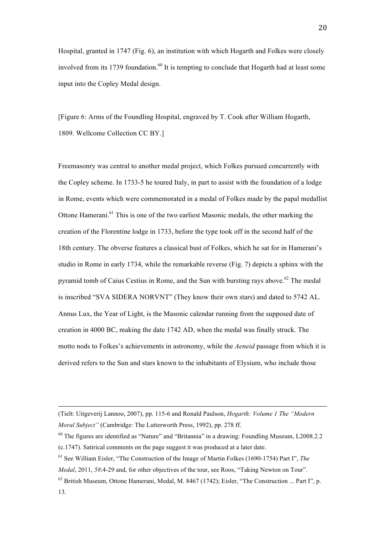Hospital, granted in 1747 (Fig. 6), an institution with which Hogarth and Folkes were closely involved from its 1739 foundation.<sup>60</sup> It is tempting to conclude that Hogarth had at least some input into the Copley Medal design.

[Figure 6: Arms of the Foundling Hospital, engraved by T. Cook after William Hogarth, 1809. Wellcome Collection CC BY.]

Freemasonry was central to another medal project, which Folkes pursued concurrently with the Copley scheme. In 1733-5 he toured Italy, in part to assist with the foundation of a lodge in Rome, events which were commemorated in a medal of Folkes made by the papal medallist Ottone Hamerani.<sup>61</sup> This is one of the two earliest Masonic medals, the other marking the creation of the Florentine lodge in 1733, before the type took off in the second half of the 18th century. The obverse features a classical bust of Folkes, which he sat for in Hamerani's studio in Rome in early 1734, while the remarkable reverse (Fig. 7) depicts a sphinx with the pyramid tomb of Caius Cestius in Rome, and the Sun with bursting rays above.<sup>62</sup> The medal is inscribed "SVA SIDERA NORVNT" (They know their own stars) and dated to 5742 AL. Annus Lux, the Year of Light, is the Masonic calendar running from the supposed date of creation in 4000 BC, making the date 1742 AD, when the medal was finally struck. The motto nods to Folkes's achievements in astronomy, while the *Aeneid* passage from which it is derived refers to the Sun and stars known to the inhabitants of Elysium, who include those

<u> 1989 - Johann Barbara, martxa alemaniar argamento de la contrada de la contrada de la contrada de la contrada</u>

<sup>(</sup>Tielt: Uitgeverij Lannoo, 2007), pp. 115-6 and Ronald Paulson, *Hogarth: Volume 1 The "Modern Moral Subject"* (Cambridge: The Lutterworth Press, 1992), pp. 278 ff.

<sup>60</sup> The figures are identified as "Nature" and "Britannia" in a drawing: Foundling Museum, L2008.2.2 (c.1747). Satirical comments on the page suggest it was produced at a later date.

<sup>61</sup> See William Eisler, "The Construction of the Image of Martin Folkes (1690-1754) Part I", *The* 

*Medal*, 2011, *58*:4-29 and, for other objectives of the tour, see Roos, "Taking Newton on Tour". <sup>62</sup> British Museum, Ottone Hamerani, Medal, M. 8467 (1742); Eisler, "The Construction ... Part I", p. 13.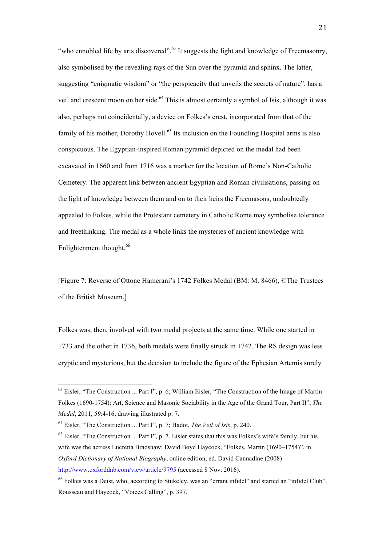"who ennobled life by arts discovered".<sup>63</sup> It suggests the light and knowledge of Freemasonry, also symbolised by the revealing rays of the Sun over the pyramid and sphinx. The latter, suggesting "enigmatic wisdom" or "the perspicacity that unveils the secrets of nature", has a veil and crescent moon on her side.<sup>64</sup> This is almost certainly a symbol of Isis, although it was also, perhaps not coincidentally, a device on Folkes's crest, incorporated from that of the family of his mother, Dorothy Hovell.<sup>65</sup> Its inclusion on the Foundling Hospital arms is also conspicuous. The Egyptian-inspired Roman pyramid depicted on the medal had been excavated in 1660 and from 1716 was a marker for the location of Rome's Non-Catholic Cemetery. The apparent link between ancient Egyptian and Roman civilisations, passing on the light of knowledge between them and on to their heirs the Freemasons, undoubtedly appealed to Folkes, while the Protestant cemetery in Catholic Rome may symbolise tolerance and freethinking. The medal as a whole links the mysteries of ancient knowledge with Enlightenment thought.<sup>66</sup>

[Figure 7: Reverse of Ottone Hamerani's 1742 Folkes Medal (BM: M. 8466), ©The Trustees of the British Museum.]

Folkes was, then, involved with two medal projects at the same time. While one started in 1733 and the other in 1736, both medals were finally struck in 1742. The RS design was less cryptic and mysterious, but the decision to include the figure of the Ephesian Artemis surely

<sup>&</sup>lt;sup>63</sup> Eisler, "The Construction ... Part I", p. 6; William Eisler, "The Construction of the Image of Martin Folkes (1690-1754): Art, Science and Masonic Sociability in the Age of the Grand Tour, Part II", *The Medal*, 2011, *59*:4-16, drawing illustrated p. 7.

<sup>64</sup> Eisler, "The Construction ... Part I", p. 7; Hadot, *The Veil of Isis*, p. 240.

<sup>&</sup>lt;sup>65</sup> Eisler, "The Construction ... Part I", p. 7. Eisler states that this was Folkes's wife's family, but his wife was the actress Lucretia Bradshaw: David Boyd Haycock, "Folkes, Martin (1690–1754)", in *Oxford Dictionary of National Biography*, online edition, ed. David Cannadine (2008) http://www.oxforddnb.com/view/article/9795 (accessed 8 Nov. 2016).

<sup>66</sup> Folkes was a Deist, who, according to Stukeley, was an "errant infidel" and started an "infidel Club", Rousseau and Haycock, "Voices Calling", p. 397.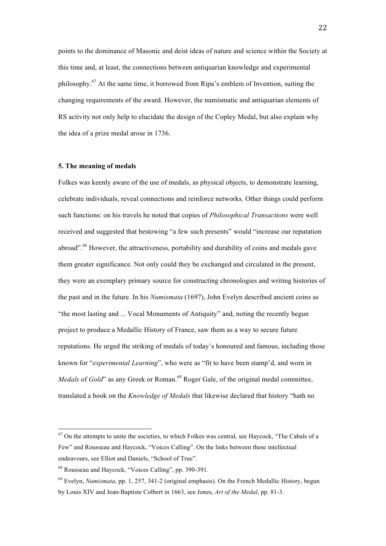points to the dominance of Masonic and deist ideas of nature and science within the Society at this time and, at least, the connections between antiquarian knowledge and experimental philosophy.<sup>67</sup> At the same time, it borrowed from Ripa's emblem of Invention, suiting the changing requirements of the award. However, the numismatic and antiquarian elements of RS activity not only help to elucidate the design of the Copley Medal, but also explain why the idea of a prize medal arose in 1736.

#### **5. The meaning of medals**

Folkes was keenly aware of the use of medals, as physical objects, to demonstrate learning, celebrate individuals, reveal connections and reinforce networks. Other things could perform such functions: on his travels he noted that copies of *Philosophical Transactions* were well received and suggested that bestowing "a few such presents" would "increase our reputation abroad".<sup>68</sup> However, the attractiveness, portability and durability of coins and medals gave them greater significance. Not only could they be exchanged and circulated in the present, they were an exemplary primary source for constructing chronologies and writing histories of the past and in the future. In his *Numismata* (1697), John Evelyn described ancient coins as "the most lasting and ... Vocal Monuments of Antiquity" and, noting the recently begun project to produce a Medallic History of France, saw them as a way to secure future reputations. He urged the striking of medals of today's honoured and famous, including those known for "*experimental Learning*", who were as "fit to have been stamp'd, and worn in *Medals* of *Gold*" as any Greek or Roman.<sup>69</sup> Roger Gale, of the original medal committee, translated a book on the *Knowledge of Medals* that likewise declared that history "hath no

 $67$  On the attempts to unite the societies, to which Folkes was central, see Haycock, "The Cabals of a Few" and Rousseau and Haycock, "Voices Calling". On the links between these intellectual endeavours, see Elliot and Daniels, "School of True".

<sup>68</sup> Rousseau and Haycock, "Voices Calling", pp. 390-391.

<sup>69</sup> Evelyn, *Numismata*, pp. 1, 257, 341-2 (original emphasis). On the French Medallic History, begun by Louis XIV and Jean-Baptiste Colbert in 1663, see Jones, *Art of the Medal*, pp. 81-3.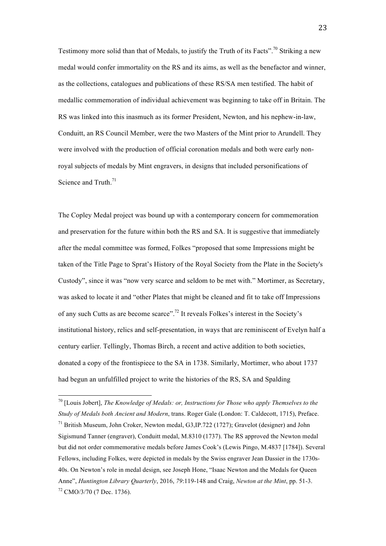Testimony more solid than that of Medals, to justify the Truth of its Facts".<sup>70</sup> Striking a new medal would confer immortality on the RS and its aims, as well as the benefactor and winner, as the collections, catalogues and publications of these RS/SA men testified. The habit of medallic commemoration of individual achievement was beginning to take off in Britain. The RS was linked into this inasmuch as its former President, Newton, and his nephew-in-law, Conduitt, an RS Council Member, were the two Masters of the Mint prior to Arundell. They were involved with the production of official coronation medals and both were early nonroyal subjects of medals by Mint engravers, in designs that included personifications of Science and Truth.<sup>71</sup>

The Copley Medal project was bound up with a contemporary concern for commemoration and preservation for the future within both the RS and SA. It is suggestive that immediately after the medal committee was formed, Folkes "proposed that some Impressions might be taken of the Title Page to Sprat's History of the Royal Society from the Plate in the Society's Custody", since it was "now very scarce and seldom to be met with." Mortimer, as Secretary, was asked to locate it and "other Plates that might be cleaned and fit to take off Impressions of any such Cutts as are become scarce".<sup>72</sup> It reveals Folkes's interest in the Society's institutional history, relics and self-presentation, in ways that are reminiscent of Evelyn half a century earlier. Tellingly, Thomas Birch, a recent and active addition to both societies, donated a copy of the frontispiece to the SA in 1738. Similarly, Mortimer, who about 1737 had begun an unfulfilled project to write the histories of the RS, SA and Spalding

<sup>70</sup> [Louis Jobert], *The Knowledge of Medals: or, Instructions for Those who apply Themselves to the Study of Medals both Ancient and Modern*, trans. Roger Gale (London: T. Caldecott, 1715), Preface. <sup>71</sup> British Museum, John Croker, Newton medal, G3,IP.722 (1727); Gravelot (designer) and John

Sigismund Tanner (engraver), Conduitt medal, M.8310 (1737). The RS approved the Newton medal but did not order commemorative medals before James Cook's (Lewis Pingo, M.4837 [1784]). Several Fellows, including Folkes, were depicted in medals by the Swiss engraver Jean Dassier in the 1730s-40s. On Newton's role in medal design, see Joseph Hone, "Isaac Newton and the Medals for Queen Anne", *Huntington Library Quarterly*, 2016, *79*:119-148 and Craig, *Newton at the Mint*, pp. 51-3.  $72$  CMO/3/70 (7 Dec. 1736).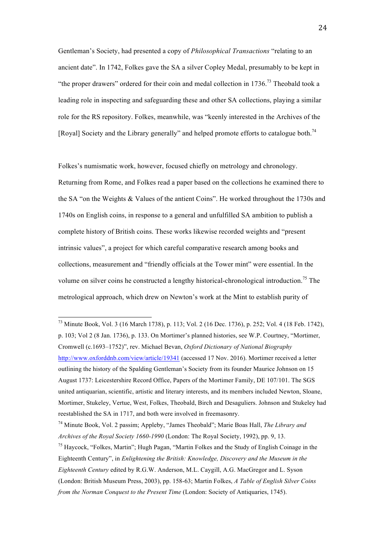Gentleman's Society, had presented a copy of *Philosophical Transactions* "relating to an ancient date". In 1742, Folkes gave the SA a silver Copley Medal, presumably to be kept in "the proper drawers" ordered for their coin and medal collection in  $1736$ <sup>73</sup>. Theobald took a leading role in inspecting and safeguarding these and other SA collections, playing a similar role for the RS repository. Folkes, meanwhile, was "keenly interested in the Archives of the [Royal] Society and the Library generally" and helped promote efforts to catalogue both.<sup>74</sup>

Folkes's numismatic work, however, focused chiefly on metrology and chronology. Returning from Rome, and Folkes read a paper based on the collections he examined there to the SA "on the Weights & Values of the antient Coins". He worked throughout the 1730s and 1740s on English coins, in response to a general and unfulfilled SA ambition to publish a complete history of British coins. These works likewise recorded weights and "present intrinsic values", a project for which careful comparative research among books and collections, measurement and "friendly officials at the Tower mint" were essential. In the volume on silver coins he constructed a lengthy historical-chronological introduction.<sup>75</sup> The metrological approach, which drew on Newton's work at the Mint to establish purity of

<sup>73</sup> Minute Book, Vol. 3 (16 March 1738), p. 113; Vol. 2 (16 Dec. 1736), p. 252; Vol. 4 (18 Feb. 1742), p. 103; Vol 2 (8 Jan. 1736), p. 133. On Mortimer's planned histories, see W.P. Courtney, "Mortimer, Cromwell (c.1693–1752)", rev. Michael Bevan, *Oxford Dictionary of National Biography* http://www.oxforddnb.com/view/article/19341 (accessed 17 Nov. 2016). Mortimer received a letter outlining the history of the Spalding Gentleman's Society from its founder Maurice Johnson on 15 August 1737: Leicestershire Record Office, Papers of the Mortimer Family, DE 107/101. The SGS united antiquarian, scientific, artistic and literary interests, and its members included Newton, Sloane, Mortimer, Stukeley, Vertue, West, Folkes, Theobald, Birch and Desaguliers. Johnson and Stukeley had reestablished the SA in 1717, and both were involved in freemasonry.

<sup>74</sup> Minute Book, Vol. 2 passim; Appleby, "James Theobald"; Marie Boas Hall, *The Library and Archives of the Royal Society 1660-1990* (London: The Royal Society, 1992), pp. 9, 13.

<sup>&</sup>lt;sup>75</sup> Haycock, "Folkes, Martin"; Hugh Pagan, "Martin Folkes and the Study of English Coinage in the Eighteenth Century", in *Enlightening the British: Knowledge, Discovery and the Museum in the Eighteenth Century* edited by R.G.W. Anderson, M.L. Caygill, A.G. MacGregor and L. Syson (London: British Museum Press, 2003), pp. 158-63; Martin Folkes, *A Table of English Silver Coins from the Norman Conquest to the Present Time* (London: Society of Antiquaries, 1745).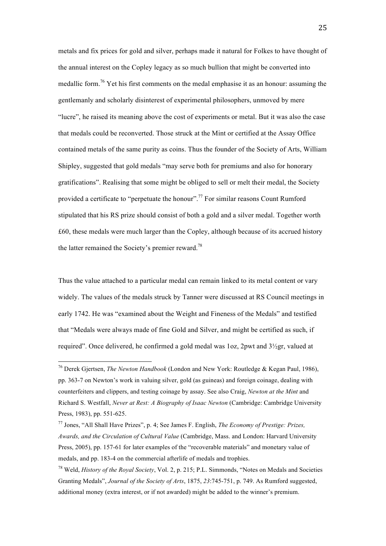metals and fix prices for gold and silver, perhaps made it natural for Folkes to have thought of the annual interest on the Copley legacy as so much bullion that might be converted into medallic form.<sup>76</sup> Yet his first comments on the medal emphasise it as an honour: assuming the gentlemanly and scholarly disinterest of experimental philosophers, unmoved by mere "lucre", he raised its meaning above the cost of experiments or metal. But it was also the case that medals could be reconverted. Those struck at the Mint or certified at the Assay Office contained metals of the same purity as coins. Thus the founder of the Society of Arts, William Shipley, suggested that gold medals "may serve both for premiums and also for honorary gratifications". Realising that some might be obliged to sell or melt their medal, the Society provided a certificate to "perpetuate the honour".<sup>77</sup> For similar reasons Count Rumford stipulated that his RS prize should consist of both a gold and a silver medal. Together worth £60, these medals were much larger than the Copley, although because of its accrued history the latter remained the Society's premier reward.<sup>78</sup>

Thus the value attached to a particular medal can remain linked to its metal content or vary widely. The values of the medals struck by Tanner were discussed at RS Council meetings in early 1742. He was "examined about the Weight and Fineness of the Medals" and testified that "Medals were always made of fine Gold and Silver, and might be certified as such, if required". Once delivered, he confirmed a gold medal was 1oz, 2pwt and 3½gr, valued at

<sup>76</sup> Derek Gjertsen, *The Newton Handbook* (London and New York: Routledge & Kegan Paul, 1986), pp. 363-7 on Newton's work in valuing silver, gold (as guineas) and foreign coinage, dealing with counterfeiters and clippers, and testing coinage by assay. See also Craig, *Newton at the Mint* and Richard S. Westfall, *Never at Rest: A Biography of Isaac Newton* (Cambridge: Cambridge University Press, 1983), pp. 551-625.

<sup>77</sup> Jones, "All Shall Have Prizes", p. 4; See James F. English, *The Economy of Prestige: Prizes, Awards, and the Circulation of Cultural Value* (Cambridge, Mass. and London: Harvard University Press, 2005), pp. 157-61 for later examples of the "recoverable materials" and monetary value of medals, and pp. 183-4 on the commercial afterlife of medals and trophies.

<sup>78</sup> Weld, *History of the Royal Society*, Vol. 2, p. 215; P.L. Simmonds, "Notes on Medals and Societies Granting Medals", *Journal of the Society of Arts*, 1875, *23*:745-751, p. 749. As Rumford suggested, additional money (extra interest, or if not awarded) might be added to the winner's premium.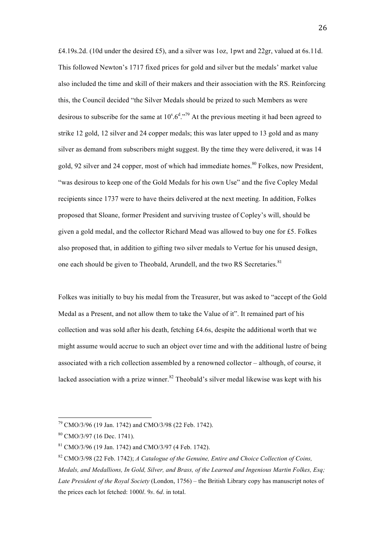£4.19s.2d. (10d under the desired £5), and a silver was 1oz, 1pwt and 22gr, valued at 6s.11d. This followed Newton's 1717 fixed prices for gold and silver but the medals' market value also included the time and skill of their makers and their association with the RS. Reinforcing this, the Council decided "the Silver Medals should be prized to such Members as were desirous to subscribe for the same at  $10^{\circ}.6^{\circ}.79$  At the previous meeting it had been agreed to strike 12 gold, 12 silver and 24 copper medals; this was later upped to 13 gold and as many silver as demand from subscribers might suggest. By the time they were delivered, it was 14 gold, 92 silver and 24 copper, most of which had immediate homes.<sup>80</sup> Folkes, now President, "was desirous to keep one of the Gold Medals for his own Use" and the five Copley Medal recipients since 1737 were to have theirs delivered at the next meeting. In addition, Folkes proposed that Sloane, former President and surviving trustee of Copley's will, should be given a gold medal, and the collector Richard Mead was allowed to buy one for £5. Folkes also proposed that, in addition to gifting two silver medals to Vertue for his unused design, one each should be given to Theobald, Arundell, and the two RS Secretaries.<sup>81</sup>

Folkes was initially to buy his medal from the Treasurer, but was asked to "accept of the Gold Medal as a Present, and not allow them to take the Value of it". It remained part of his collection and was sold after his death, fetching £4.6s, despite the additional worth that we might assume would accrue to such an object over time and with the additional lustre of being associated with a rich collection assembled by a renowned collector – although, of course, it lacked association with a prize winner.<sup>82</sup> Theobald's silver medal likewise was kept with his

<sup>79</sup> CMO/3/96 (19 Jan. 1742) and CMO/3/98 (22 Feb. 1742).

<sup>80</sup> CMO/3/97 (16 Dec. 1741).

<sup>81</sup> CMO/3/96 (19 Jan. 1742) and CMO/3/97 (4 Feb. 1742).

<sup>82</sup> CMO/3/98 (22 Feb. 1742); *A Catalogue of the Genuine, Entire and Choice Collection of Coins, Medals, and Medallions, In Gold, Silver, and Brass, of the Learned and Ingenious Martin Folkes, Esq; Late President of the Royal Society* (London, 1756) – the British Library copy has manuscript notes of the prices each lot fetched: 1000*l*. 9*s*. 6*d*. in total.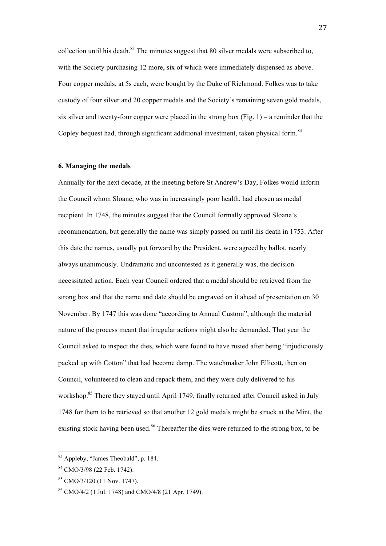collection until his death. $83$  The minutes suggest that 80 silver medals were subscribed to, with the Society purchasing 12 more, six of which were immediately dispensed as above. Four copper medals, at 5s each, were bought by the Duke of Richmond. Folkes was to take custody of four silver and 20 copper medals and the Society's remaining seven gold medals, six silver and twenty-four copper were placed in the strong box  $(Fig. 1)$  – a reminder that the Copley bequest had, through significant additional investment, taken physical form.<sup>84</sup>

#### **6. Managing the medals**

Annually for the next decade, at the meeting before St Andrew's Day, Folkes would inform the Council whom Sloane, who was in increasingly poor health, had chosen as medal recipient. In 1748, the minutes suggest that the Council formally approved Sloane's recommendation, but generally the name was simply passed on until his death in 1753. After this date the names, usually put forward by the President, were agreed by ballot, nearly always unanimously. Undramatic and uncontested as it generally was, the decision necessitated action. Each year Council ordered that a medal should be retrieved from the strong box and that the name and date should be engraved on it ahead of presentation on 30 November. By 1747 this was done "according to Annual Custom", although the material nature of the process meant that irregular actions might also be demanded. That year the Council asked to inspect the dies, which were found to have rusted after being "injudiciously packed up with Cotton" that had become damp. The watchmaker John Ellicott, then on Council, volunteered to clean and repack them, and they were duly delivered to his workshop.<sup>85</sup> There they stayed until April 1749, finally returned after Council asked in July 1748 for them to be retrieved so that another 12 gold medals might be struck at the Mint, the existing stock having been used.<sup>86</sup> Thereafter the dies were returned to the strong box, to be

<sup>83</sup> Appleby, "James Theobald", p. 184.

<sup>84</sup> CMO/3/98 (22 Feb. 1742).

 $85$  CMO/3/120 (11 Nov. 1747).

<sup>86</sup> CMO/4/2 (1 Jul. 1748) and CMO/4/8 (21 Apr. 1749).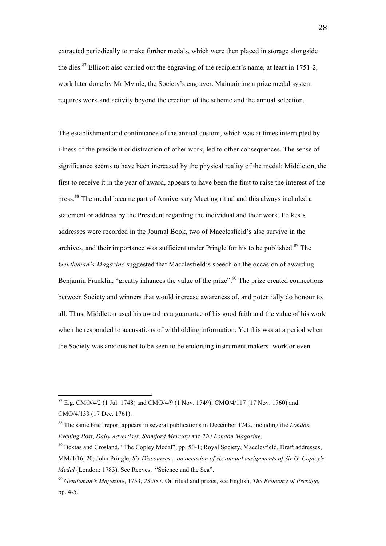extracted periodically to make further medals, which were then placed in storage alongside the dies.<sup>87</sup> Ellicott also carried out the engraving of the recipient's name, at least in 1751-2, work later done by Mr Mynde, the Society's engraver. Maintaining a prize medal system requires work and activity beyond the creation of the scheme and the annual selection.

The establishment and continuance of the annual custom, which was at times interrupted by illness of the president or distraction of other work, led to other consequences. The sense of significance seems to have been increased by the physical reality of the medal: Middleton, the first to receive it in the year of award, appears to have been the first to raise the interest of the press.<sup>88</sup> The medal became part of Anniversary Meeting ritual and this always included a statement or address by the President regarding the individual and their work. Folkes's addresses were recorded in the Journal Book, two of Macclesfield's also survive in the archives, and their importance was sufficient under Pringle for his to be published.<sup>89</sup> The *Gentleman's Magazine* suggested that Macclesfield's speech on the occasion of awarding Benjamin Franklin, "greatly inhances the value of the prize".<sup>90</sup> The prize created connections between Society and winners that would increase awareness of, and potentially do honour to, all. Thus, Middleton used his award as a guarantee of his good faith and the value of his work when he responded to accusations of withholding information. Yet this was at a period when the Society was anxious not to be seen to be endorsing instrument makers' work or even

<sup>87</sup> E.g. CMO/4/2 (1 Jul. 1748) and CMO/4/9 (1 Nov. 1749); CMO/4/117 (17 Nov. 1760) and CMO/4/133 (17 Dec. 1761).

<sup>88</sup> The same brief report appears in several publications in December 1742, including the *London Evening Post*, *Daily Advertiser*, *Stamford Mercury* and *The London Magazine*.

<sup>&</sup>lt;sup>89</sup> Bektas and Crosland, "The Copley Medal", pp. 50-1; Royal Society, Macclesfield, Draft addresses, MM/4/16, 20; John Pringle, *Six Discourses... on occasion of six annual assignments of Sir G. Copley's Medal* (London: 1783). See Reeves, "Science and the Sea".

<sup>90</sup> *Gentleman's Magazine*, 1753, *23*:587. On ritual and prizes, see English, *The Economy of Prestige*, pp. 4-5.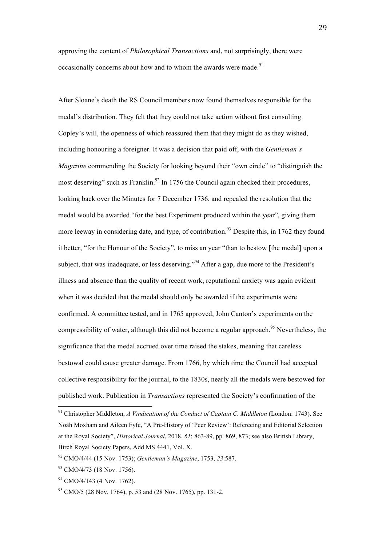approving the content of *Philosophical Transactions* and, not surprisingly, there were occasionally concerns about how and to whom the awards were made.<sup>91</sup>

After Sloane's death the RS Council members now found themselves responsible for the medal's distribution. They felt that they could not take action without first consulting Copley's will, the openness of which reassured them that they might do as they wished, including honouring a foreigner. It was a decision that paid off, with the *Gentleman's Magazine* commending the Society for looking beyond their "own circle" to "distinguish the most deserving" such as Franklin.<sup>92</sup> In 1756 the Council again checked their procedures, looking back over the Minutes for 7 December 1736, and repealed the resolution that the medal would be awarded "for the best Experiment produced within the year", giving them more leeway in considering date, and type, of contribution.<sup>93</sup> Despite this, in 1762 they found it better, "for the Honour of the Society", to miss an year "than to bestow [the medal] upon a subject, that was inadequate, or less deserving."<sup>94</sup> After a gap, due more to the President's illness and absence than the quality of recent work, reputational anxiety was again evident when it was decided that the medal should only be awarded if the experiments were confirmed. A committee tested, and in 1765 approved, John Canton's experiments on the compressibility of water, although this did not become a regular approach.<sup>95</sup> Nevertheless, the significance that the medal accrued over time raised the stakes, meaning that careless bestowal could cause greater damage. From 1766, by which time the Council had accepted collective responsibility for the journal, to the 1830s, nearly all the medals were bestowed for published work. Publication in *Transactions* represented the Society's confirmation of the

<sup>91</sup> Christopher Middleton, *A Vindication of the Conduct of Captain C. Middleton* (London: 1743). See Noah Moxham and Aileen Fyfe, "A Pre-History of 'Peer Review': Refereeing and Editorial Selection at the Royal Society", *Historical Journal*, 2018, *61*: 863-89, pp. 869, 873; see also British Library, Birch Royal Society Papers, Add MS 4441, Vol. X.

<sup>92</sup> CMO/4/44 (15 Nov. 1753); *Gentleman's Magazine*, 1753, *23*:587.

 $93$  CMO/4/73 (18 Nov. 1756).

 $94$  CMO/4/143 (4 Nov. 1762).

 $^{95}$  CMO/5 (28 Nov. 1764), p. 53 and (28 Nov. 1765), pp. 131-2.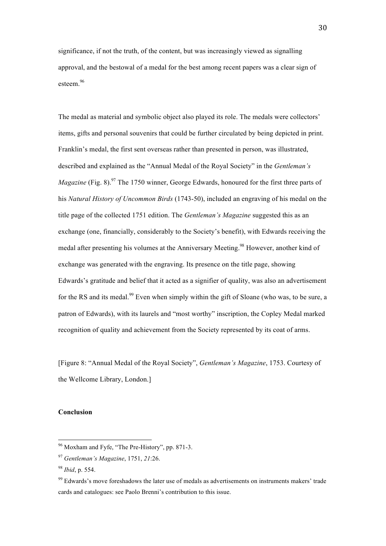significance, if not the truth, of the content, but was increasingly viewed as signalling approval, and the bestowal of a medal for the best among recent papers was a clear sign of esteem.<sup>96</sup>

The medal as material and symbolic object also played its role. The medals were collectors' items, gifts and personal souvenirs that could be further circulated by being depicted in print. Franklin's medal, the first sent overseas rather than presented in person, was illustrated, described and explained as the "Annual Medal of the Royal Society" in the *Gentleman's Magazine* (Fig. 8).<sup>97</sup> The 1750 winner, George Edwards, honoured for the first three parts of his *Natural History of Uncommon Birds* (1743-50), included an engraving of his medal on the title page of the collected 1751 edition. The *Gentleman's Magazine* suggested this as an exchange (one, financially, considerably to the Society's benefit), with Edwards receiving the medal after presenting his volumes at the Anniversary Meeting.<sup>98</sup> However, another kind of exchange was generated with the engraving. Its presence on the title page, showing Edwards's gratitude and belief that it acted as a signifier of quality, was also an advertisement for the RS and its medal.<sup>99</sup> Even when simply within the gift of Sloane (who was, to be sure, a patron of Edwards), with its laurels and "most worthy" inscription, the Copley Medal marked recognition of quality and achievement from the Society represented by its coat of arms.

[Figure 8: "Annual Medal of the Royal Society", *Gentleman's Magazine*, 1753. Courtesy of the Wellcome Library, London.]

## **Conclusion**

<sup>96</sup> Moxham and Fyfe, "The Pre-History", pp. 871-3.

<sup>97</sup> *Gentleman's Magazine*, 1751, *21*:26.

<sup>98</sup> *Ibid*, p. 554.

<sup>&</sup>lt;sup>99</sup> Edwards's move foreshadows the later use of medals as advertisements on instruments makers' trade cards and catalogues: see Paolo Brenni's contribution to this issue.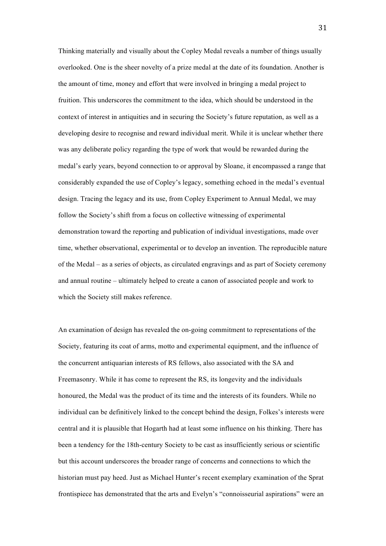Thinking materially and visually about the Copley Medal reveals a number of things usually overlooked. One is the sheer novelty of a prize medal at the date of its foundation. Another is the amount of time, money and effort that were involved in bringing a medal project to fruition. This underscores the commitment to the idea, which should be understood in the context of interest in antiquities and in securing the Society's future reputation, as well as a developing desire to recognise and reward individual merit. While it is unclear whether there was any deliberate policy regarding the type of work that would be rewarded during the medal's early years, beyond connection to or approval by Sloane, it encompassed a range that considerably expanded the use of Copley's legacy, something echoed in the medal's eventual design. Tracing the legacy and its use, from Copley Experiment to Annual Medal, we may follow the Society's shift from a focus on collective witnessing of experimental demonstration toward the reporting and publication of individual investigations, made over time, whether observational, experimental or to develop an invention. The reproducible nature of the Medal – as a series of objects, as circulated engravings and as part of Society ceremony and annual routine – ultimately helped to create a canon of associated people and work to which the Society still makes reference.

An examination of design has revealed the on-going commitment to representations of the Society, featuring its coat of arms, motto and experimental equipment, and the influence of the concurrent antiquarian interests of RS fellows, also associated with the SA and Freemasonry. While it has come to represent the RS, its longevity and the individuals honoured, the Medal was the product of its time and the interests of its founders. While no individual can be definitively linked to the concept behind the design, Folkes's interests were central and it is plausible that Hogarth had at least some influence on his thinking. There has been a tendency for the 18th-century Society to be cast as insufficiently serious or scientific but this account underscores the broader range of concerns and connections to which the historian must pay heed. Just as Michael Hunter's recent exemplary examination of the Sprat frontispiece has demonstrated that the arts and Evelyn's "connoisseurial aspirations" were an